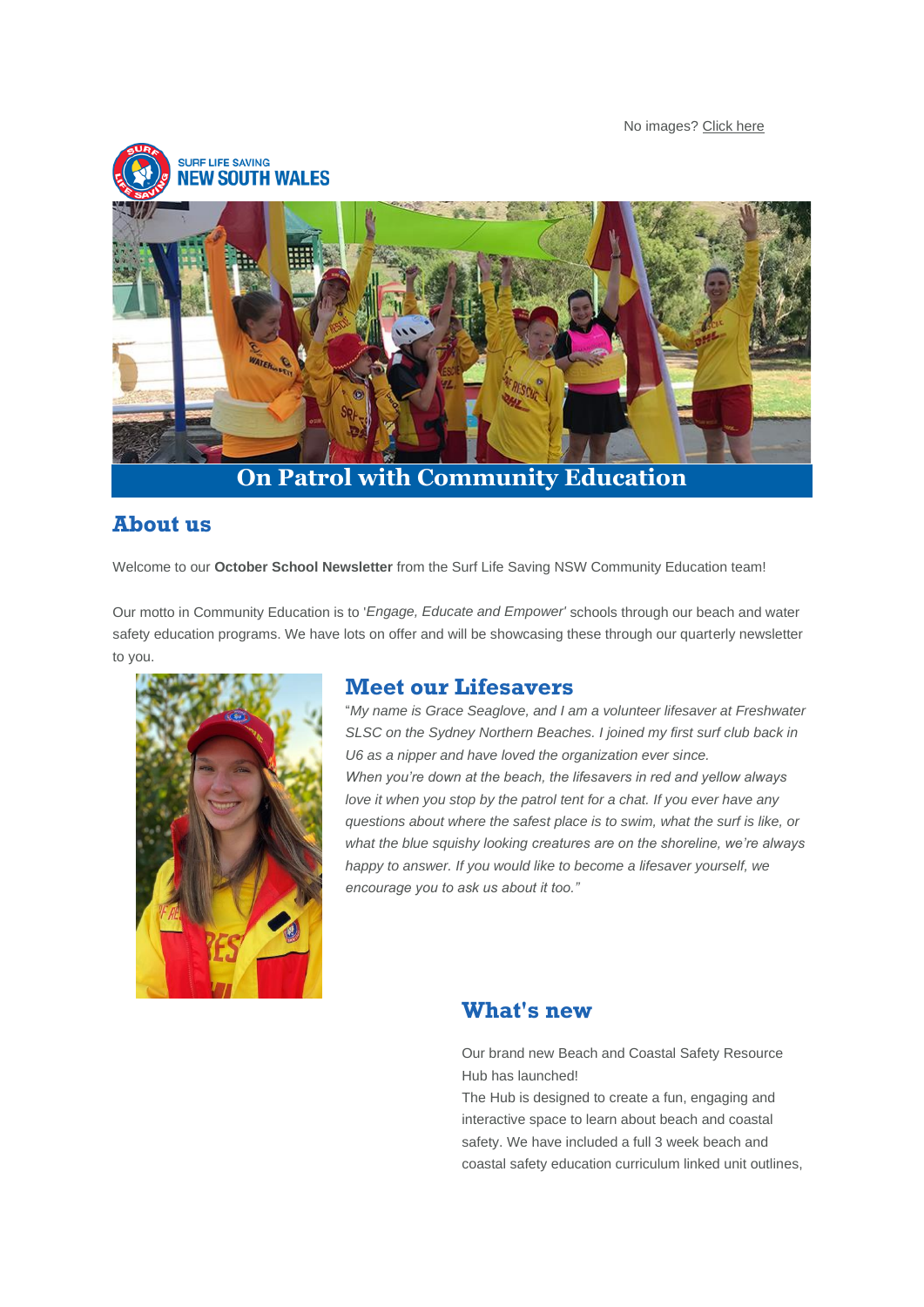No images? [Click here](https://aus01.safelinks.protection.outlook.com/?url=https%3A%2F%2Fsurflifesavingnewsouthwales.cmail20.com%2Ft%2Fd-e-ayhzud-l-yk%2F&data=04%7C01%7Cjclarke%40surflifesaving.com.au%7Ca4ad4d05bf494247610208d9830fdffa%7Cc693b47293af44c98f2e60f2b08c16f9%7C0%7C0%7C637684926476930783%7CUnknown%7CTWFpbGZsb3d8eyJWIjoiMC4wLjAwMDAiLCJQIjoiV2luMzIiLCJBTiI6Ik1haWwiLCJXVCI6Mn0%3D%7C1000&sdata=OdTp0NYZeOb1YShcAFalb23rVayqIe%2Bb%2BXWjT8B%2FcqE%3D&reserved=0)



## **About us**

Welcome to our **October School Newsletter** from the Surf Life Saving NSW Community Education team!

Our motto in Community Education is to '*Engage, Educate and Empower'* schools through our beach and water safety education programs. We have lots on offer and will be showcasing these through our quarterly newsletter to you.



### **Meet our Lifesavers**

"*My name is Grace Seaglove, and I am a volunteer lifesaver at Freshwater SLSC on the Sydney Northern Beaches. I joined my first surf club back in U6 as a nipper and have loved the organization ever since. When you're down at the beach, the lifesavers in red and yellow always love it when you stop by the patrol tent for a chat. If you ever have any questions about where the safest place is to swim, what the surf is like, or what the blue squishy looking creatures are on the shoreline, we're always happy to answer. If you would like to become a lifesaver yourself, we encourage you to ask us about it too."*

### **What's new**

Our brand new Beach and Coastal Safety Resource Hub has launched!

The Hub is designed to create a fun, engaging and interactive space to learn about beach and coastal safety. We have included a full 3 week beach and coastal safety education curriculum linked unit outlines,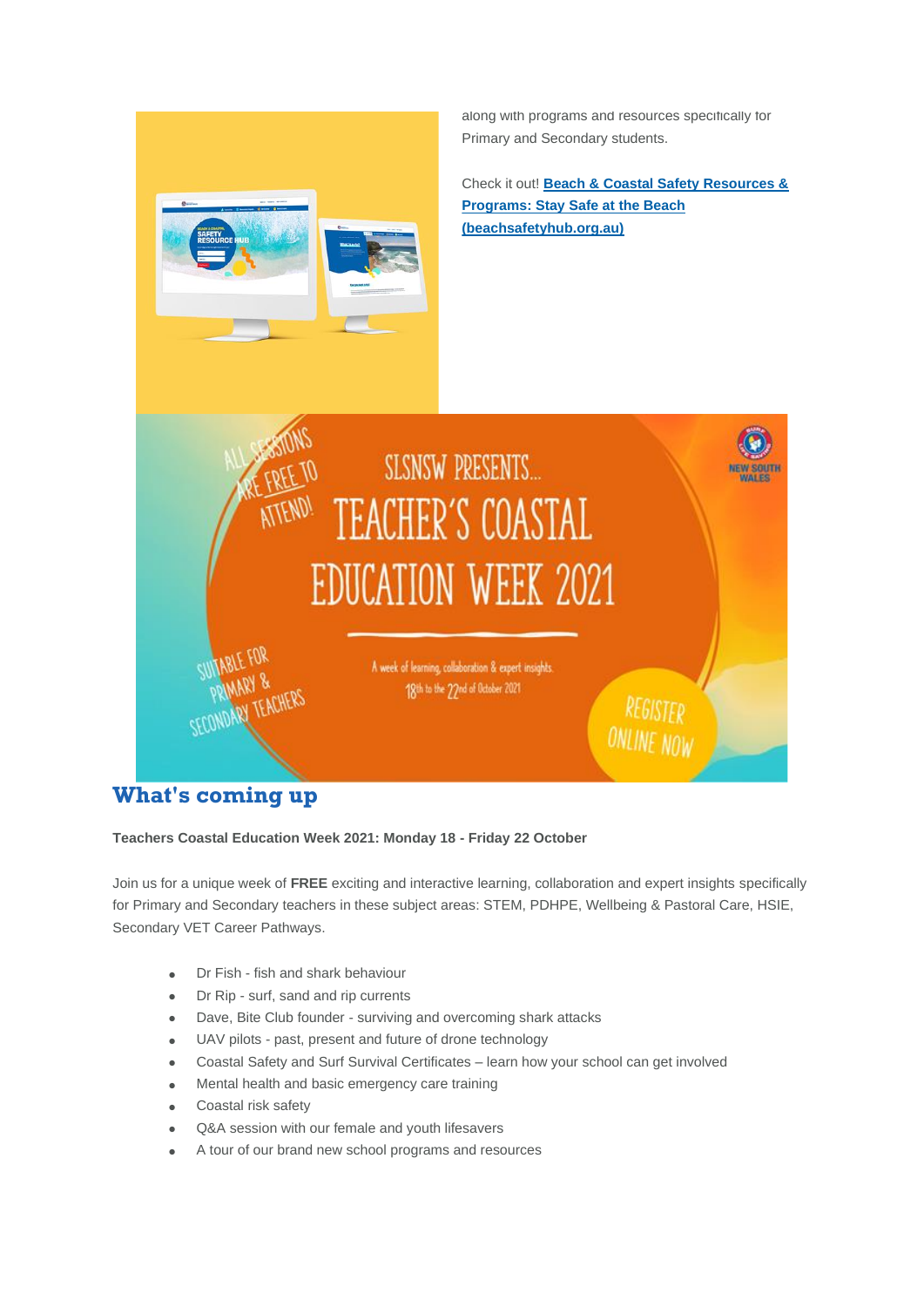

**What's coming up**

**Teachers Coastal Education Week 2021: Monday 18 - Friday 22 October**

Join us for a unique week of **FREE** exciting and interactive learning, collaboration and expert insights specifically for Primary and Secondary teachers in these subject areas: STEM, PDHPE, Wellbeing & Pastoral Care, HSIE, Secondary VET Career Pathways.

- Dr Fish fish and shark behaviour
- Dr Rip surf, sand and rip currents
- Dave, Bite Club founder surviving and overcoming shark attacks
- UAV pilots past, present and future of drone technology
- Coastal Safety and Surf Survival Certificates learn how your school can get involved
- Mental health and basic emergency care training
- Coastal risk safety
- Q&A session with our female and youth lifesavers
- A tour of our brand new school programs and resources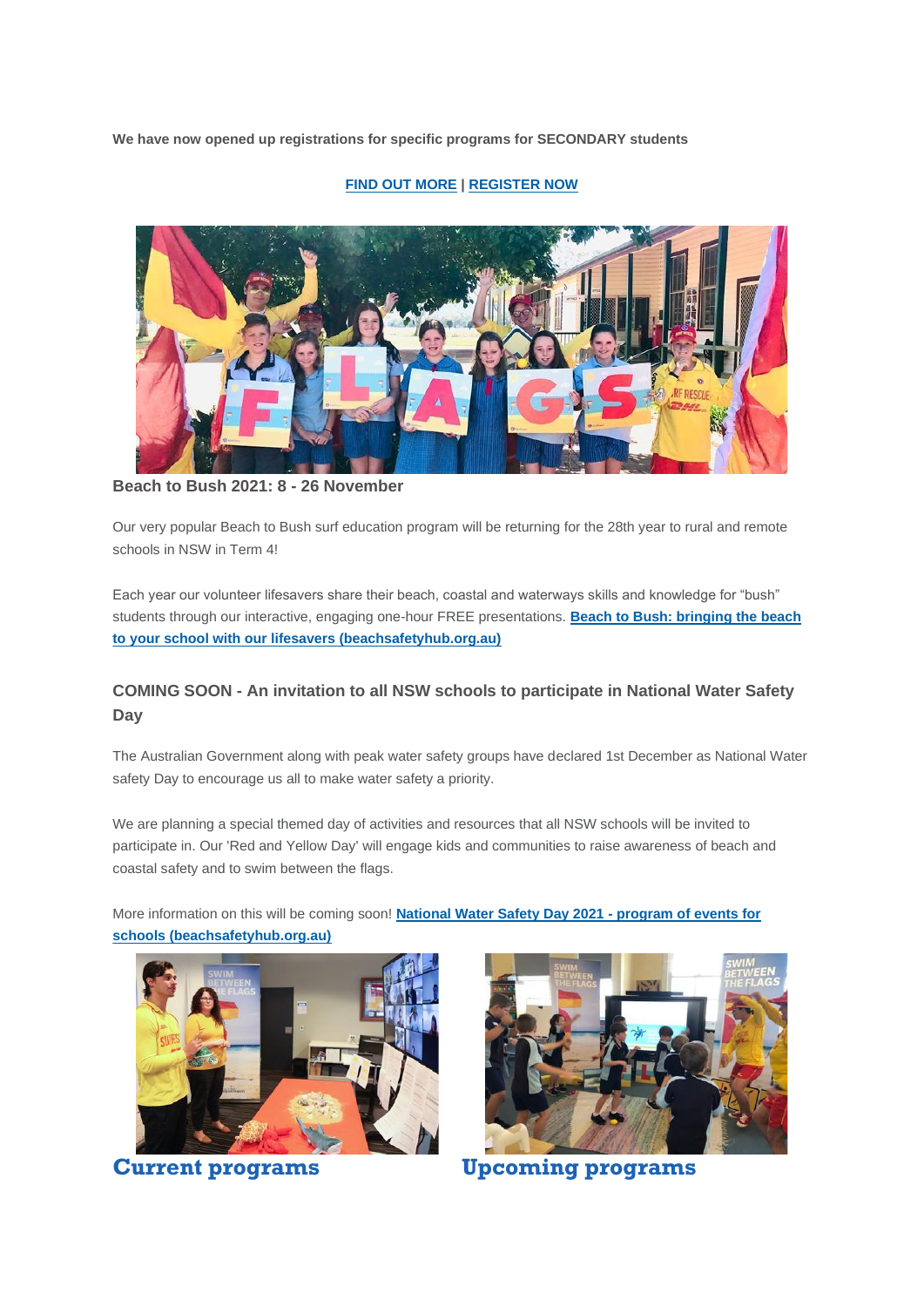**We have now opened up registrations for specific programs for SECONDARY students**

### **[FIND OUT MORE](https://aus01.safelinks.protection.outlook.com/?url=https%3A%2F%2Fsurflifesavingnewsouthwales.cmail20.com%2Ft%2Fd-i-ayhzud-l-t%2F&data=04%7C01%7Cjclarke%40surflifesaving.com.au%7Ca4ad4d05bf494247610208d9830fdffa%7Cc693b47293af44c98f2e60f2b08c16f9%7C0%7C0%7C637684926476950683%7CUnknown%7CTWFpbGZsb3d8eyJWIjoiMC4wLjAwMDAiLCJQIjoiV2luMzIiLCJBTiI6Ik1haWwiLCJXVCI6Mn0%3D%7C1000&sdata=5LiBwWlDu6MPXSQZzn32phAUdkCFdNnaKuIsmpgQQZA%3D&reserved=0) | [REGISTER NOW](https://aus01.safelinks.protection.outlook.com/?url=https%3A%2F%2Fsurflifesavingnewsouthwales.cmail20.com%2Ft%2Fd-i-ayhzud-l-i%2F&data=04%7C01%7Cjclarke%40surflifesaving.com.au%7Ca4ad4d05bf494247610208d9830fdffa%7Cc693b47293af44c98f2e60f2b08c16f9%7C0%7C0%7C637684926476950683%7CUnknown%7CTWFpbGZsb3d8eyJWIjoiMC4wLjAwMDAiLCJQIjoiV2luMzIiLCJBTiI6Ik1haWwiLCJXVCI6Mn0%3D%7C1000&sdata=OnRkRakW9g4V6Bo81HqmUulqfDZmTiCSkEFJlt2YHm8%3D&reserved=0)**



**Beach to Bush 2021: 8 - 26 November**

Our very popular Beach to Bush surf education program will be returning for the 28th year to rural and remote schools in NSW in Term 4!

Each year our volunteer lifesavers share their beach, coastal and waterways skills and knowledge for "bush" students through our interactive, engaging one-hour FREE presentations. **[Beach to Bush: bringing the beach](https://aus01.safelinks.protection.outlook.com/?url=https%3A%2F%2Fsurflifesavingnewsouthwales.cmail20.com%2Ft%2Fd-i-ayhzud-l-h%2F&data=04%7C01%7Cjclarke%40surflifesaving.com.au%7Ca4ad4d05bf494247610208d9830fdffa%7Cc693b47293af44c98f2e60f2b08c16f9%7C0%7C0%7C637684926476960640%7CUnknown%7CTWFpbGZsb3d8eyJWIjoiMC4wLjAwMDAiLCJQIjoiV2luMzIiLCJBTiI6Ik1haWwiLCJXVCI6Mn0%3D%7C1000&sdata=1SpfQq1Zf61WQ5GcwQ1rm7Slj5zB71Q%2BZxxuxAddZAo%3D&reserved=0)  [to your school with our lifesavers \(beachsafetyhub.org.au\)](https://aus01.safelinks.protection.outlook.com/?url=https%3A%2F%2Fsurflifesavingnewsouthwales.cmail20.com%2Ft%2Fd-i-ayhzud-l-h%2F&data=04%7C01%7Cjclarke%40surflifesaving.com.au%7Ca4ad4d05bf494247610208d9830fdffa%7Cc693b47293af44c98f2e60f2b08c16f9%7C0%7C0%7C637684926476960640%7CUnknown%7CTWFpbGZsb3d8eyJWIjoiMC4wLjAwMDAiLCJQIjoiV2luMzIiLCJBTiI6Ik1haWwiLCJXVCI6Mn0%3D%7C1000&sdata=1SpfQq1Zf61WQ5GcwQ1rm7Slj5zB71Q%2BZxxuxAddZAo%3D&reserved=0)**

### **COMING SOON - An invitation to all NSW schools to participate in National Water Safety Day**

The Australian Government along with peak water safety groups have declared 1st December as National Water safety Day to encourage us all to make water safety a priority.

We are planning a special themed day of activities and resources that all NSW schools will be invited to participate in. Our 'Red and Yellow Day' will engage kids and communities to raise awareness of beach and coastal safety and to swim between the flags.

More information on this will be coming soon! **[National Water Safety Day 2021 -](https://aus01.safelinks.protection.outlook.com/?url=https%3A%2F%2Fsurflifesavingnewsouthwales.cmail20.com%2Ft%2Fd-i-ayhzud-l-k%2F&data=04%7C01%7Cjclarke%40surflifesaving.com.au%7Ca4ad4d05bf494247610208d9830fdffa%7Cc693b47293af44c98f2e60f2b08c16f9%7C0%7C0%7C637684926476970609%7CUnknown%7CTWFpbGZsb3d8eyJWIjoiMC4wLjAwMDAiLCJQIjoiV2luMzIiLCJBTiI6Ik1haWwiLCJXVCI6Mn0%3D%7C1000&sdata=KSXZP02g%2FqWICtF%2BwQv3plrYahy0ROOtAcN6dxe8Pq8%3D&reserved=0) program of events for [schools \(beachsafetyhub.org.au\)](https://aus01.safelinks.protection.outlook.com/?url=https%3A%2F%2Fsurflifesavingnewsouthwales.cmail20.com%2Ft%2Fd-i-ayhzud-l-k%2F&data=04%7C01%7Cjclarke%40surflifesaving.com.au%7Ca4ad4d05bf494247610208d9830fdffa%7Cc693b47293af44c98f2e60f2b08c16f9%7C0%7C0%7C637684926476970609%7CUnknown%7CTWFpbGZsb3d8eyJWIjoiMC4wLjAwMDAiLCJQIjoiV2luMzIiLCJBTiI6Ik1haWwiLCJXVCI6Mn0%3D%7C1000&sdata=KSXZP02g%2FqWICtF%2BwQv3plrYahy0ROOtAcN6dxe8Pq8%3D&reserved=0)**





**Current programs Upcoming programs**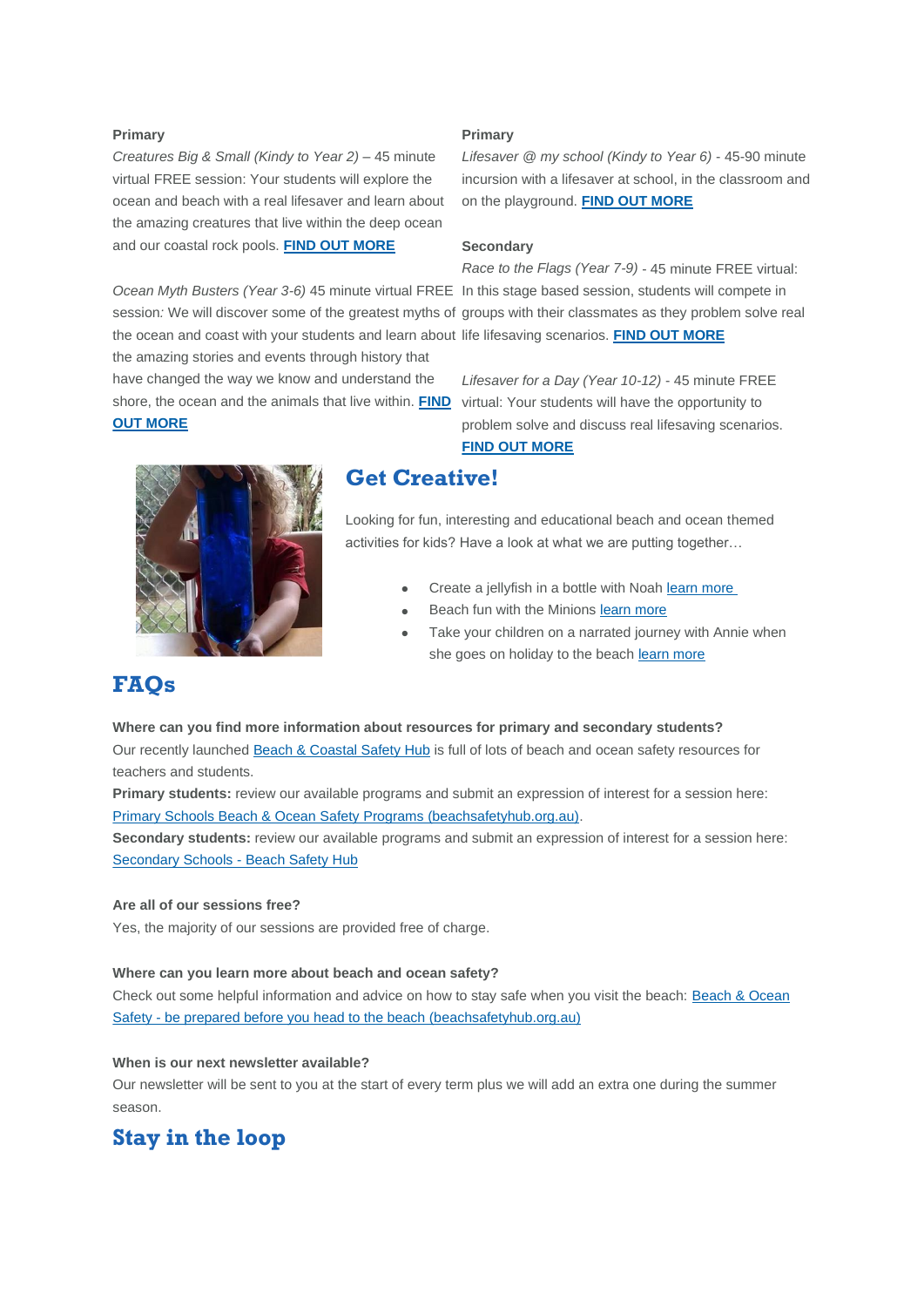#### **Primary**

*Creatures Big & Small (Kindy to Year 2) –* 45 minute virtual FREE session: Your students will explore the ocean and beach with a real lifesaver and learn about the amazing creatures that live within the deep ocean and our coastal rock pools. **[FIND OUT MORE](https://aus01.safelinks.protection.outlook.com/?url=https%3A%2F%2Fsurflifesavingnewsouthwales.cmail20.com%2Ft%2Fd-i-ayhzud-l-u%2F&data=04%7C01%7Cjclarke%40surflifesaving.com.au%7Ca4ad4d05bf494247610208d9830fdffa%7Cc693b47293af44c98f2e60f2b08c16f9%7C0%7C0%7C637684926476970609%7CUnknown%7CTWFpbGZsb3d8eyJWIjoiMC4wLjAwMDAiLCJQIjoiV2luMzIiLCJBTiI6Ik1haWwiLCJXVCI6Mn0%3D%7C1000&sdata=hnZvJVUQsywflgrGetcUDs3MOzSqIud759UA7cMs0kM%3D&reserved=0)**

*Ocean Myth Busters (Year 3-6)* 45 minute virtual FREE In this stage based session, students will compete in the ocean and coast with your students and learn about life lifesaving scenarios. **[FIND OUT MORE](https://aus01.safelinks.protection.outlook.com/?url=https%3A%2F%2Fsurflifesavingnewsouthwales.cmail20.com%2Ft%2Fd-i-ayhzud-l-x%2F&data=04%7C01%7Cjclarke%40surflifesaving.com.au%7Ca4ad4d05bf494247610208d9830fdffa%7Cc693b47293af44c98f2e60f2b08c16f9%7C0%7C0%7C637684926476980560%7CUnknown%7CTWFpbGZsb3d8eyJWIjoiMC4wLjAwMDAiLCJQIjoiV2luMzIiLCJBTiI6Ik1haWwiLCJXVCI6Mn0%3D%7C1000&sdata=PVgC%2FI3dWfIEuRg%2Bpp4NKwYSfAGdklxMsJb0dkNzU0c%3D&reserved=0)** the amazing stories and events through history that have changed the way we know and understand the shore, the ocean and the animals that live within. **[FIND](https://aus01.safelinks.protection.outlook.com/?url=https%3A%2F%2Fsurflifesavingnewsouthwales.cmail20.com%2Ft%2Fd-i-ayhzud-l-n%2F&data=04%7C01%7Cjclarke%40surflifesaving.com.au%7Ca4ad4d05bf494247610208d9830fdffa%7Cc693b47293af44c98f2e60f2b08c16f9%7C0%7C0%7C637684926476980560%7CUnknown%7CTWFpbGZsb3d8eyJWIjoiMC4wLjAwMDAiLCJQIjoiV2luMzIiLCJBTiI6Ik1haWwiLCJXVCI6Mn0%3D%7C1000&sdata=tHb272Ib3yjW%2BeDtcVqTy8OQiIG8uaw0K%2FFP5%2FgN%2F1I%3D&reserved=0)**  virtual: Your students will have the opportunity to **[OUT MORE](https://aus01.safelinks.protection.outlook.com/?url=https%3A%2F%2Fsurflifesavingnewsouthwales.cmail20.com%2Ft%2Fd-i-ayhzud-l-n%2F&data=04%7C01%7Cjclarke%40surflifesaving.com.au%7Ca4ad4d05bf494247610208d9830fdffa%7Cc693b47293af44c98f2e60f2b08c16f9%7C0%7C0%7C637684926476980560%7CUnknown%7CTWFpbGZsb3d8eyJWIjoiMC4wLjAwMDAiLCJQIjoiV2luMzIiLCJBTiI6Ik1haWwiLCJXVCI6Mn0%3D%7C1000&sdata=tHb272Ib3yjW%2BeDtcVqTy8OQiIG8uaw0K%2FFP5%2FgN%2F1I%3D&reserved=0)**

#### **Primary**

*Lifesaver @ my school (Kindy to Year 6)* - 45-90 minute incursion with a lifesaver at school, in the classroom and on the playground. **[FIND OUT MORE](https://aus01.safelinks.protection.outlook.com/?url=https%3A%2F%2Fsurflifesavingnewsouthwales.cmail20.com%2Ft%2Fd-i-ayhzud-l-p%2F&data=04%7C01%7Cjclarke%40surflifesaving.com.au%7Ca4ad4d05bf494247610208d9830fdffa%7Cc693b47293af44c98f2e60f2b08c16f9%7C0%7C0%7C637684926476980560%7CUnknown%7CTWFpbGZsb3d8eyJWIjoiMC4wLjAwMDAiLCJQIjoiV2luMzIiLCJBTiI6Ik1haWwiLCJXVCI6Mn0%3D%7C1000&sdata=CGGF4oQU0kxXvJ%2BQ%2FMTh5TQ0c8HslrLF3UYLWRxKVOU%3D&reserved=0)**

#### **Secondary**

session*:* We will discover some of the greatest myths of groups with their classmates as they problem solve real *Race to the Flags (Year 7-9)* - 45 minute FREE virtual:

> *Lifesaver for a Day (Year 10-12)* - 45 minute FREE problem solve and discuss real lifesaving scenarios. **[FIND OUT MORE](https://aus01.safelinks.protection.outlook.com/?url=https%3A%2F%2Fsurflifesavingnewsouthwales.cmail20.com%2Ft%2Fd-i-ayhzud-l-m%2F&data=04%7C01%7Cjclarke%40surflifesaving.com.au%7Ca4ad4d05bf494247610208d9830fdffa%7Cc693b47293af44c98f2e60f2b08c16f9%7C0%7C0%7C637684926476990514%7CUnknown%7CTWFpbGZsb3d8eyJWIjoiMC4wLjAwMDAiLCJQIjoiV2luMzIiLCJBTiI6Ik1haWwiLCJXVCI6Mn0%3D%7C1000&sdata=O9dr7U7KqDm%2B5saScW7FjGUKAorwX86jNnTA1aNU%2Fqk%3D&reserved=0)**



### **Get Creative!**

Looking for fun, interesting and educational beach and ocean themed activities for kids? Have a look at what we are putting together…

- Create a jellyfish in a bottle with Noah [learn more](https://aus01.safelinks.protection.outlook.com/?url=https%3A%2F%2Fsurflifesavingnewsouthwales.cmail20.com%2Ft%2Fd-i-ayhzud-l-c%2F&data=04%7C01%7Cjclarke%40surflifesaving.com.au%7Ca4ad4d05bf494247610208d9830fdffa%7Cc693b47293af44c98f2e60f2b08c16f9%7C0%7C0%7C637684926476990514%7CUnknown%7CTWFpbGZsb3d8eyJWIjoiMC4wLjAwMDAiLCJQIjoiV2luMzIiLCJBTiI6Ik1haWwiLCJXVCI6Mn0%3D%7C1000&sdata=0y3iMkfsOygDC%2F7jKH7l8rNiUvc2VXjpMkmZ1AGWrtE%3D&reserved=0)
- Beach fun with the Minions [learn more](https://aus01.safelinks.protection.outlook.com/?url=https%3A%2F%2Fsurflifesavingnewsouthwales.cmail20.com%2Ft%2Fd-i-ayhzud-l-q%2F&data=04%7C01%7Cjclarke%40surflifesaving.com.au%7Ca4ad4d05bf494247610208d9830fdffa%7Cc693b47293af44c98f2e60f2b08c16f9%7C0%7C0%7C637684926477000470%7CUnknown%7CTWFpbGZsb3d8eyJWIjoiMC4wLjAwMDAiLCJQIjoiV2luMzIiLCJBTiI6Ik1haWwiLCJXVCI6Mn0%3D%7C1000&sdata=cIrb4iMeGMQhuFkH3RdhEQdxmjh43kxkx7wx8i%2BQ3Pk%3D&reserved=0)
- Take your children on a narrated journey with Annie when she goes on holiday to the beach [learn more](https://aus01.safelinks.protection.outlook.com/?url=https%3A%2F%2Fsurflifesavingnewsouthwales.cmail20.com%2Ft%2Fd-i-ayhzud-l-a%2F&data=04%7C01%7Cjclarke%40surflifesaving.com.au%7Ca4ad4d05bf494247610208d9830fdffa%7Cc693b47293af44c98f2e60f2b08c16f9%7C0%7C0%7C637684926477000470%7CUnknown%7CTWFpbGZsb3d8eyJWIjoiMC4wLjAwMDAiLCJQIjoiV2luMzIiLCJBTiI6Ik1haWwiLCJXVCI6Mn0%3D%7C1000&sdata=1X4ilhPlWgUV74AwfzBs32XNTWQda25zz8z1BjE3NIA%3D&reserved=0)

### **FAQs**

#### **Where can you find more information about resources for primary and secondary students?**

Our recently launched [Beach & Coastal Safety Hub](https://aus01.safelinks.protection.outlook.com/?url=https%3A%2F%2Fsurflifesavingnewsouthwales.cmail20.com%2Ft%2Fd-i-ayhzud-l-z%2F&data=04%7C01%7Cjclarke%40surflifesaving.com.au%7Ca4ad4d05bf494247610208d9830fdffa%7Cc693b47293af44c98f2e60f2b08c16f9%7C0%7C0%7C637684926477010425%7CUnknown%7CTWFpbGZsb3d8eyJWIjoiMC4wLjAwMDAiLCJQIjoiV2luMzIiLCJBTiI6Ik1haWwiLCJXVCI6Mn0%3D%7C1000&sdata=Z10jyfEYzALJCzTvjwSuh7He7bREhPvB1bJA8vIw%2Fs4%3D&reserved=0) is full of lots of beach and ocean safety resources for teachers and students.

**Primary students:** review our available programs and submit an expression of interest for a session here: [Primary Schools Beach & Ocean Safety Programs \(beachsafetyhub.org.au\).](https://aus01.safelinks.protection.outlook.com/?url=https%3A%2F%2Fsurflifesavingnewsouthwales.cmail20.com%2Ft%2Fd-i-ayhzud-l-v%2F&data=04%7C01%7Cjclarke%40surflifesaving.com.au%7Ca4ad4d05bf494247610208d9830fdffa%7Cc693b47293af44c98f2e60f2b08c16f9%7C0%7C0%7C637684926477010425%7CUnknown%7CTWFpbGZsb3d8eyJWIjoiMC4wLjAwMDAiLCJQIjoiV2luMzIiLCJBTiI6Ik1haWwiLCJXVCI6Mn0%3D%7C1000&sdata=vo9BZ9RKVwoFTXt6iZlb9CiNF5zVu37o0CPuJSp4YXM%3D&reserved=0) 

**Secondary students:** review our available programs and submit an expression of interest for a session here: [Secondary Schools -](https://aus01.safelinks.protection.outlook.com/?url=https%3A%2F%2Fsurflifesavingnewsouthwales.cmail20.com%2Ft%2Fd-i-ayhzud-l-e%2F&data=04%7C01%7Cjclarke%40surflifesaving.com.au%7Ca4ad4d05bf494247610208d9830fdffa%7Cc693b47293af44c98f2e60f2b08c16f9%7C0%7C0%7C637684926477020380%7CUnknown%7CTWFpbGZsb3d8eyJWIjoiMC4wLjAwMDAiLCJQIjoiV2luMzIiLCJBTiI6Ik1haWwiLCJXVCI6Mn0%3D%7C1000&sdata=FyEDg1F2jK%2FW4uQny4%2BqnGgqboBtHZuL1mgPYjmNSPE%3D&reserved=0) Beach Safety Hub

#### **Are all of our sessions free?**

Yes, the majority of our sessions are provided free of charge.

#### **Where can you learn more about beach and ocean safety?**

Check out some helpful information and advice on how to stay safe when you visit the beach: [Beach & Ocean](https://aus01.safelinks.protection.outlook.com/?url=https%3A%2F%2Fsurflifesavingnewsouthwales.cmail20.com%2Ft%2Fd-i-ayhzud-l-s%2F&data=04%7C01%7Cjclarke%40surflifesaving.com.au%7Ca4ad4d05bf494247610208d9830fdffa%7Cc693b47293af44c98f2e60f2b08c16f9%7C0%7C0%7C637684926477020380%7CUnknown%7CTWFpbGZsb3d8eyJWIjoiMC4wLjAwMDAiLCJQIjoiV2luMzIiLCJBTiI6Ik1haWwiLCJXVCI6Mn0%3D%7C1000&sdata=GflkMnoEZ6YqMv90N13%2BIwXV8TVjVJ5pSg3LsCCdep4%3D&reserved=0)  Safety - [be prepared before you head to the beach \(beachsafetyhub.org.au\)](https://aus01.safelinks.protection.outlook.com/?url=https%3A%2F%2Fsurflifesavingnewsouthwales.cmail20.com%2Ft%2Fd-i-ayhzud-l-s%2F&data=04%7C01%7Cjclarke%40surflifesaving.com.au%7Ca4ad4d05bf494247610208d9830fdffa%7Cc693b47293af44c98f2e60f2b08c16f9%7C0%7C0%7C637684926477020380%7CUnknown%7CTWFpbGZsb3d8eyJWIjoiMC4wLjAwMDAiLCJQIjoiV2luMzIiLCJBTiI6Ik1haWwiLCJXVCI6Mn0%3D%7C1000&sdata=GflkMnoEZ6YqMv90N13%2BIwXV8TVjVJ5pSg3LsCCdep4%3D&reserved=0)

#### **When is our next newsletter available?**

Our newsletter will be sent to you at the start of every term plus we will add an extra one during the summer season.

### **Stay in the loop**